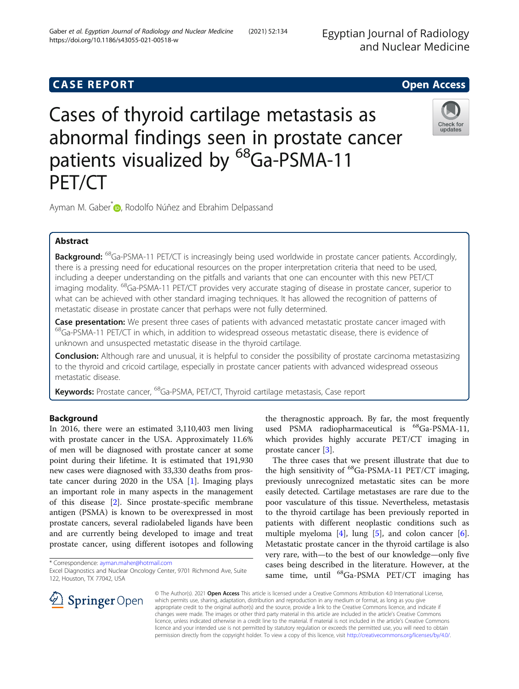# **CASE REPORT And SERVICE SERVICE SERVICE SERVICE SERVICE SERVICE SERVICE SERVICE SERVICE SERVICE SERVICE SERVICE**

# Cases of thyroid cartilage metastasis as abnormal findings seen in prostate cancer patients visualized by <sup>68</sup>Ga-PSMA-11 PET/CT



Ayman M. Gaber<sup>\*</sup> <sub>D</sub>[,](http://orcid.org/0000-0002-0476-533X) Rodolfo Núñez and Ebrahim Delpassand

# Abstract

**Background:** <sup>68</sup>Ga-PSMA-11 PET/CT is increasingly being used worldwide in prostate cancer patients. Accordingly, there is a pressing need for educational resources on the proper interpretation criteria that need to be used, including a deeper understanding on the pitfalls and variants that one can encounter with this new PET/CT imaging modality. <sup>68</sup>Ga-PSMA-11 PET/CT provides very accurate staging of disease in prostate cancer, superior to what can be achieved with other standard imaging techniques. It has allowed the recognition of patterns of metastatic disease in prostate cancer that perhaps were not fully determined.

Case presentation: We present three cases of patients with advanced metastatic prostate cancer imaged with 68Ga-PSMA-11 PET/CT in which, in addition to widespread osseous metastatic disease, there is evidence of unknown and unsuspected metastatic disease in the thyroid cartilage.

**Conclusion:** Although rare and unusual, it is helpful to consider the possibility of prostate carcinoma metastasizing to the thyroid and cricoid cartilage, especially in prostate cancer patients with advanced widespread osseous metastatic disease.

Keywords: Prostate cancer, <sup>68</sup>Ga-PSMA, PET/CT, Thyroid cartilage metastasis, Case report

# Background

In 2016, there were an estimated 3,110,403 men living with prostate cancer in the USA. Approximately 11.6% of men will be diagnosed with prostate cancer at some point during their lifetime. It is estimated that 191,930 new cases were diagnosed with 33,330 deaths from prostate cancer during  $2020$  in the USA  $[1]$  $[1]$ . Imaging plays an important role in many aspects in the management of this disease [[2\]](#page-3-0). Since prostate-specific membrane antigen (PSMA) is known to be overexpressed in most prostate cancers, several radiolabeled ligands have been and are currently being developed to image and treat prostate cancer, using different isotopes and following

\* Correspondence: [ayman.maher@hotmail.com](mailto:ayman.maher@hotmail.com)



The three cases that we present illustrate that due to the high sensitivity of  ${}^{68}$ Ga-PSMA-11 PET/CT imaging, previously unrecognized metastatic sites can be more easily detected. Cartilage metastases are rare due to the poor vasculature of this tissue. Nevertheless, metastasis to the thyroid cartilage has been previously reported in patients with different neoplastic conditions such as multiple myeloma  $[4]$  $[4]$ , lung  $[5]$  $[5]$  $[5]$ , and colon cancer  $[6]$  $[6]$ . Metastatic prostate cancer in the thyroid cartilage is also very rare, with—to the best of our knowledge—only five cases being described in the literature. However, at the same time, until <sup>68</sup>Ga-PSMA PET/CT imaging has

© The Author(s). 2021 Open Access This article is licensed under a Creative Commons Attribution 4.0 International License,  $\mathscr{L}$  Springer Open which permits use, sharing, adaptation, distribution and reproduction in any medium or format, as long as you give appropriate credit to the original author(s) and the source, provide a link to the Creative Commons licence, and indicate if changes were made. The images or other third party material in this article are included in the article's Creative Commons licence, unless indicated otherwise in a credit line to the material. If material is not included in the article's Creative Commons licence and your intended use is not permitted by statutory regulation or exceeds the permitted use, you will need to obtain permission directly from the copyright holder. To view a copy of this licence, visit <http://creativecommons.org/licenses/by/4.0/>.

Excel Diagnostics and Nuclear Oncology Center, 9701 Richmond Ave, Suite 122, Houston, TX 77042, USA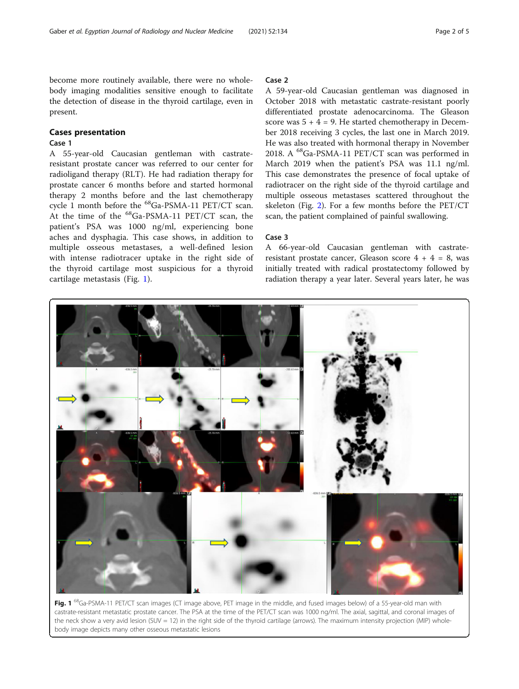become more routinely available, there were no wholebody imaging modalities sensitive enough to facilitate the detection of disease in the thyroid cartilage, even in present.

#### Cases presentation

# Case 1

A 55-year-old Caucasian gentleman with castrateresistant prostate cancer was referred to our center for radioligand therapy (RLT). He had radiation therapy for prostate cancer 6 months before and started hormonal therapy 2 months before and the last chemotherapy cycle 1 month before the <sup>68</sup>Ga-PSMA-11 PET/CT scan. At the time of the <sup>68</sup>Ga-PSMA-11 PET/CT scan, the patient's PSA was 1000 ng/ml, experiencing bone aches and dysphagia. This case shows, in addition to multiple osseous metastases, a well-defined lesion with intense radiotracer uptake in the right side of the thyroid cartilage most suspicious for a thyroid cartilage metastasis (Fig. 1).

### Case 2

A 59-year-old Caucasian gentleman was diagnosed in October 2018 with metastatic castrate-resistant poorly differentiated prostate adenocarcinoma. The Gleason score was  $5 + 4 = 9$ . He started chemotherapy in December 2018 receiving 3 cycles, the last one in March 2019. He was also treated with hormonal therapy in November 2018. A 68Ga-PSMA-11 PET/CT scan was performed in March 2019 when the patient's PSA was 11.1 ng/ml. This case demonstrates the presence of focal uptake of radiotracer on the right side of the thyroid cartilage and multiple osseous metastases scattered throughout the skeleton (Fig. [2](#page-2-0)). For a few months before the PET/CT scan, the patient complained of painful swallowing.

#### Case 3

A 66-year-old Caucasian gentleman with castrateresistant prostate cancer, Gleason score  $4 + 4 = 8$ , was initially treated with radical prostatectomy followed by radiation therapy a year later. Several years later, he was



Fig. 1 <sup>68</sup>Ga-PSMA-11 PET/CT scan images (CT image above, PET image in the middle, and fused images below) of a 55-year-old man with castrate-resistant metastatic prostate cancer. The PSA at the time of the PET/CT scan was 1000 ng/ml. The axial, sagittal, and coronal images of the neck show a very avid lesion (SUV = 12) in the right side of the thyroid cartilage (arrows). The maximum intensity projection (MIP) wholebody image depicts many other osseous metastatic lesions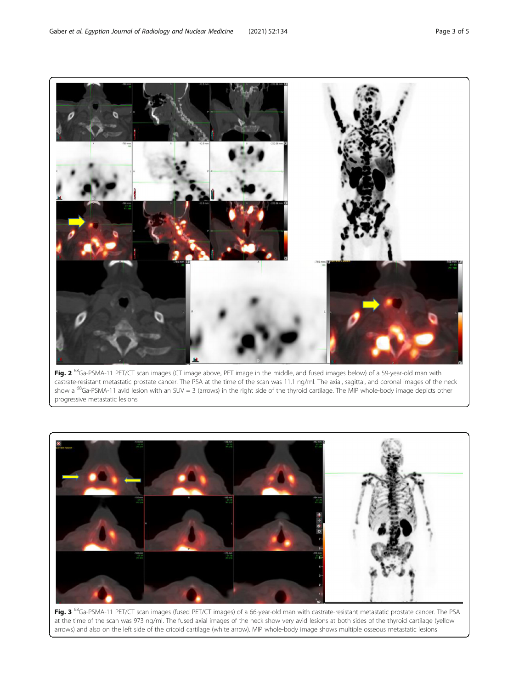<span id="page-2-0"></span>

Fig. 2<sup>68</sup>Ga-PSMA-11 PET/CT scan images (CT image above, PET image in the middle, and fused images below) of a 59-year-old man with castrate-resistant metastatic prostate cancer. The PSA at the time of the scan was 11.1 ng/ml. The axial, sagittal, and coronal images of the neck show a <sup>68</sup>Ga-PSMA-11 avid lesion with an SUV = 3 (arrows) in the right side of the thyroid cartilage. The MIP whole-body image depicts other progressive metastatic lesions



Fig. 3 <sup>68</sup>Ga-PSMA-11 PET/CT scan images (fused PET/CT images) of a 66-year-old man with castrate-resistant metastatic prostate cancer. The PSA at the time of the scan was 973 ng/ml. The fused axial images of the neck show very avid lesions at both sides of the thyroid cartilage (yellow arrows) and also on the left side of the cricoid cartilage (white arrow). MIP whole-body image shows multiple osseous metastatic lesions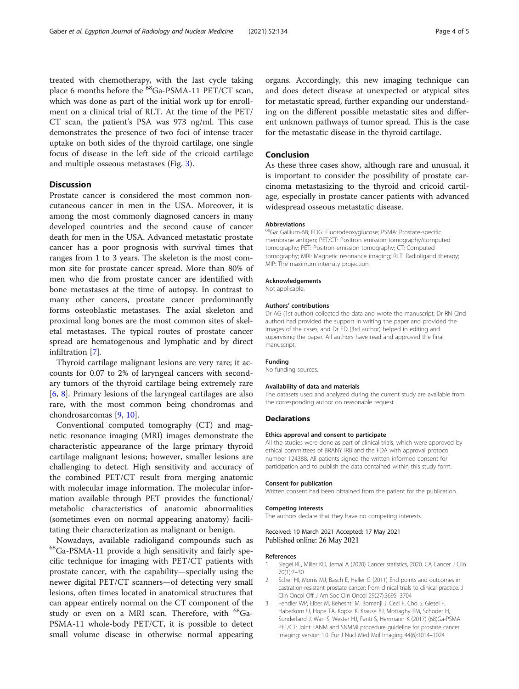<span id="page-3-0"></span>treated with chemotherapy, with the last cycle taking place 6 months before the <sup>68</sup>Ga-PSMA-11 PET/CT scan, which was done as part of the initial work up for enrollment on a clinical trial of RLT. At the time of the PET/ CT scan, the patient's PSA was 973 ng/ml. This case demonstrates the presence of two foci of intense tracer uptake on both sides of the thyroid cartilage, one single focus of disease in the left side of the cricoid cartilage and multiple osseous metastases (Fig. [3\)](#page-2-0).

# Discussion

Prostate cancer is considered the most common noncutaneous cancer in men in the USA. Moreover, it is among the most commonly diagnosed cancers in many developed countries and the second cause of cancer death for men in the USA. Advanced metastatic prostate cancer has a poor prognosis with survival times that ranges from 1 to 3 years. The skeleton is the most common site for prostate cancer spread. More than 80% of men who die from prostate cancer are identified with bone metastases at the time of autopsy. In contrast to many other cancers, prostate cancer predominantly forms osteoblastic metastases. The axial skeleton and proximal long bones are the most common sites of skeletal metastases. The typical routes of prostate cancer spread are hematogenous and lymphatic and by direct infiltration [\[7](#page-4-0)].

Thyroid cartilage malignant lesions are very rare; it accounts for 0.07 to 2% of laryngeal cancers with secondary tumors of the thyroid cartilage being extremely rare [[6,](#page-4-0) [8](#page-4-0)]. Primary lesions of the laryngeal cartilages are also rare, with the most common being chondromas and chondrosarcomas [[9,](#page-4-0) [10\]](#page-4-0).

Conventional computed tomography (CT) and magnetic resonance imaging (MRI) images demonstrate the characteristic appearance of the large primary thyroid cartilage malignant lesions; however, smaller lesions are challenging to detect. High sensitivity and accuracy of the combined PET/CT result from merging anatomic with molecular image information. The molecular information available through PET provides the functional/ metabolic characteristics of anatomic abnormalities (sometimes even on normal appearing anatomy) facilitating their characterization as malignant or benign.

Nowadays, available radioligand compounds such as 68Ga-PSMA-11 provide a high sensitivity and fairly specific technique for imaging with PET/CT patients with prostate cancer, with the capability—specially using the newer digital PET/CT scanners—of detecting very small lesions, often times located in anatomical structures that can appear entirely normal on the CT component of the study or even on a MRI scan. Therefore, with <sup>68</sup>Ga-PSMA-11 whole-body PET/CT, it is possible to detect small volume disease in otherwise normal appearing

organs. Accordingly, this new imaging technique can and does detect disease at unexpected or atypical sites for metastatic spread, further expanding our understanding on the different possible metastatic sites and different unknown pathways of tumor spread. This is the case for the metastatic disease in the thyroid cartilage.

#### Conclusion

As these three cases show, although rare and unusual, it is important to consider the possibility of prostate carcinoma metastasizing to the thyroid and cricoid cartilage, especially in prostate cancer patients with advanced widespread osseous metastatic disease.

#### Abbreviations

68Ga: Gallium-68; FDG: Fluorodeoxyglucose; PSMA: Prostate-specific membrane antigen; PET/CT: Positron emission tomography/computed tomography; PET: Positron emission tomography; CT: Computed tomography; MRI: Magnetic resonance imaging; RLT: Radioligand therapy; MIP: The maximum intensity projection

#### Acknowledgements

Not applicable.

#### Authors' contributions

Dr AG (1st author) collected the data and wrote the manuscript; Dr RN (2nd author) had provided the support in writing the paper and provided the images of the cases; and Dr ED (3rd author) helped in editing and supervising the paper. All authors have read and approved the final manuscript.

#### Funding

No funding sources.

#### Availability of data and materials

The datasets used and analyzed during the current study are available from the corresponding author on reasonable request.

#### **Declarations**

#### Ethics approval and consent to participate

All the studies were done as part of clinical trials, which were approved by ethical committees of BRANY IRB and the FDA with approval protocol number 124388. All patients signed the written informed consent for participation and to publish the data contained within this study form.

#### Consent for publication

Written consent had been obtained from the patient for the publication.

#### Competing interests

The authors declare that they have no competing interests.

#### Received: 10 March 2021 Accepted: 17 May 2021 Published online: 26 May 2021

#### References

- 1. Siegel RL, Miller KD, Jemal A (2020) Cancer statistics, 2020. CA Cancer J Clin 70(1):7–30
- 2. Scher HI, Morris MJ, Basch E, Heller G (2011) End points and outcomes in castration-resistant prostate cancer: from clinical trials to clinical practice. J Clin Oncol Off J Am Soc Clin Oncol 29(27):3695–3704
- 3. Fendler WP, Eiber M, Beheshti M, Bomanji J, Ceci F, Cho S, Giesel F, Haberkorn U, Hope TA, Kopka K, Krause BJ, Mottaghy FM, Schoder H, Sunderland J, Wan S, Wester HJ, Fanti S, Herrmann K (2017) (68)Ga-PSMA PET/CT: Joint EANM and SNMMI procedure guideline for prostate cancer imaging: version 1.0. Eur J Nucl Med Mol Imaging 44(6):1014–1024